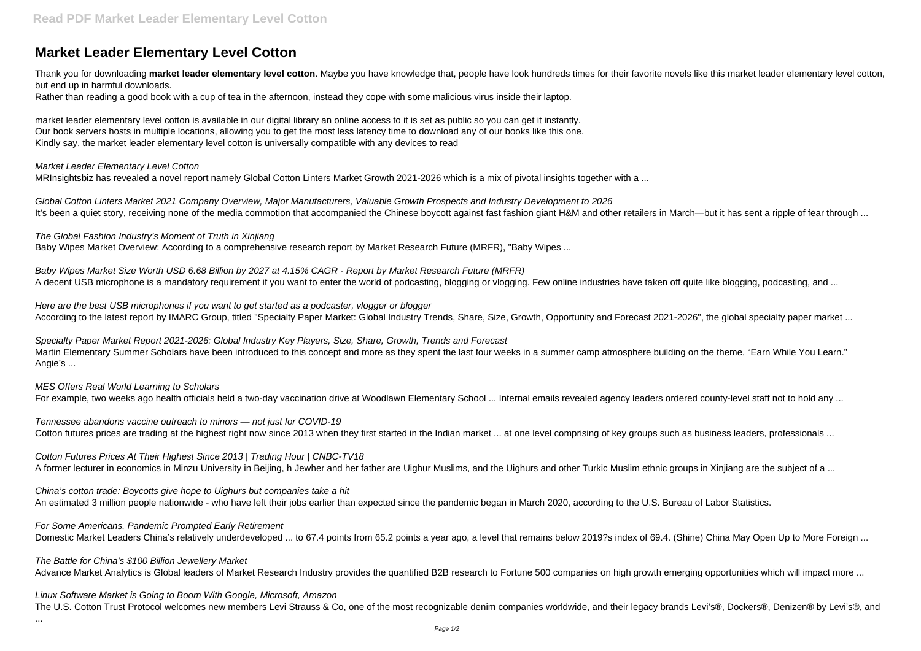# **Market Leader Elementary Level Cotton**

Thank you for downloading **market leader elementary level cotton**. Maybe you have knowledge that, people have look hundreds times for their favorite novels like this market leader elementary level cotton, but end up in harmful downloads.

Rather than reading a good book with a cup of tea in the afternoon, instead they cope with some malicious virus inside their laptop.

Global Cotton Linters Market 2021 Company Overview, Major Manufacturers, Valuable Growth Prospects and Industry Development to 2026 It's been a quiet story, receiving none of the media commotion that accompanied the Chinese boycott against fast fashion giant H&M and other retailers in March—but it has sent a ripple of fear through ...

market leader elementary level cotton is available in our digital library an online access to it is set as public so you can get it instantly. Our book servers hosts in multiple locations, allowing you to get the most less latency time to download any of our books like this one. Kindly say, the market leader elementary level cotton is universally compatible with any devices to read

Baby Wipes Market Size Worth USD 6.68 Billion by 2027 at 4.15% CAGR - Report by Market Research Future (MRFR) A decent USB microphone is a mandatory requirement if you want to enter the world of podcasting, blogging or vlogging. Few online industries have taken off quite like blogging, podcasting, and ...

#### Market Leader Elementary Level Cotton

Here are the best USB microphones if you want to get started as a podcaster, vlogger or blogger According to the latest report by IMARC Group, titled "Specialty Paper Market: Global Industry Trends, Share, Size, Growth, Opportunity and Forecast 2021-2026", the global specialty paper market ...

MRInsightsbiz has revealed a novel report namely Global Cotton Linters Market Growth 2021-2026 which is a mix of pivotal insights together with a ...

Tennessee abandons vaccine outreach to minors — not just for COVID-19 Cotton futures prices are trading at the highest right now since 2013 when they first started in the Indian market ... at one level comprising of key groups such as business leaders, professionals ...

The Global Fashion Industry's Moment of Truth in Xinjiang Baby Wipes Market Overview: According to a comprehensive research report by Market Research Future (MRFR), "Baby Wipes ...

For Some Americans, Pandemic Prompted Early Retirement Domestic Market Leaders China's relatively underdeveloped ... to 67.4 points from 65.2 points a year ago, a level that remains below 2019?s index of 69.4. (Shine) China May Open Up to More Foreign ...

Linux Software Market is Going to Boom With Google, Microsoft, Amazon The U.S. Cotton Trust Protocol welcomes new members Levi Strauss & Co, one of the most recognizable denim companies worldwide, and their legacy brands Levi's®, Dockers®, Denizen® by Levi's®, and

Specialty Paper Market Report 2021-2026: Global Industry Key Players, Size, Share, Growth, Trends and Forecast Martin Elementary Summer Scholars have been introduced to this concept and more as they spent the last four weeks in a summer camp atmosphere building on the theme, "Earn While You Learn." Angie's ...

MES Offers Real World Learning to Scholars

For example, two weeks ago health officials held a two-day vaccination drive at Woodlawn Elementary School ... Internal emails revealed agency leaders ordered county-level staff not to hold any ...

Cotton Futures Prices At Their Highest Since 2013 | Trading Hour | CNBC-TV18 A former lecturer in economics in Minzu University in Beijing, h Jewher and her father are Uighur Muslims, and the Uighurs and other Turkic Muslim ethnic groups in Xinjiang are the subject of a ...

China's cotton trade: Boycotts give hope to Uighurs but companies take a hit An estimated 3 million people nationwide - who have left their jobs earlier than expected since the pandemic began in March 2020, according to the U.S. Bureau of Labor Statistics.

The Battle for China's \$100 Billion Jewellery Market

...

Advance Market Analytics is Global leaders of Market Research Industry provides the quantified B2B research to Fortune 500 companies on high growth emerging opportunities which will impact more ...